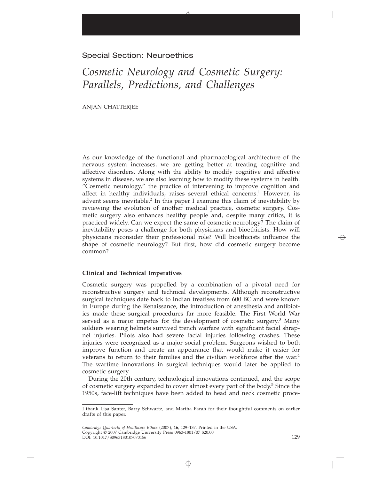# *Cosmetic Neurology and Cosmetic Surgery: Parallels, Predictions, and Challenges*

ANJAN CHATTERJEE

As our knowledge of the functional and pharmacological architecture of the nervous system increases, we are getting better at treating cognitive and affective disorders. Along with the ability to modify cognitive and affective systems in disease, we are also learning how to modify these systems in health. "Cosmetic neurology," the practice of intervening to improve cognition and affect in healthy individuals, raises several ethical concerns.<sup>1</sup> However, its advent seems inevitable.<sup>2</sup> In this paper I examine this claim of inevitability by reviewing the evolution of another medical practice, cosmetic surgery. Cosmetic surgery also enhances healthy people and, despite many critics, it is practiced widely. Can we expect the same of cosmetic neurology? The claim of inevitability poses a challenge for both physicians and bioethicists. How will physicians reconsider their professional role? Will bioethicists influence the shape of cosmetic neurology? But first, how did cosmetic surgery become common?

# **Clinical and Technical Imperatives**

Cosmetic surgery was propelled by a combination of a pivotal need for reconstructive surgery and technical developments. Although reconstructive surgical techniques date back to Indian treatises from 600 BC and were known in Europe during the Renaissance, the introduction of anesthesia and antibiotics made these surgical procedures far more feasible. The First World War served as a major impetus for the development of cosmetic surgery.3 Many soldiers wearing helmets survived trench warfare with significant facial shrapnel injuries. Pilots also had severe facial injuries following crashes. These injuries were recognized as a major social problem. Surgeons wished to both improve function and create an appearance that would make it easier for veterans to return to their families and the civilian workforce after the war.4 The wartime innovations in surgical techniques would later be applied to cosmetic surgery.

During the 20th century, technological innovations continued, and the scope of cosmetic surgery expanded to cover almost every part of the body.<sup>5</sup> Since the 1950s, face-lift techniques have been added to head and neck cosmetic proce-

I thank Lisa Santer, Barry Schwartz, and Martha Farah for their thoughtful comments on earlier drafts of this paper.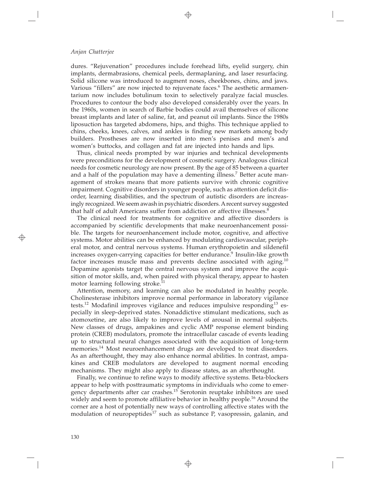dures. "Rejuvenation" procedures include forehead lifts, eyelid surgery, chin implants, dermabrasions, chemical peels, dermaplaning, and laser resurfacing. Solid silicone was introduced to augment noses, cheekbones, chins, and jaws. Various "fillers" are now injected to rejuvenate faces.<sup>6</sup> The aesthetic armamentarium now includes botulinum toxin to selectively paralyze facial muscles. Procedures to contour the body also developed considerably over the years. In the 1960s, women in search of Barbie bodies could avail themselves of silicone breast implants and later of saline, fat, and peanut oil implants. Since the 1980s liposuction has targeted abdomens, hips, and thighs. This technique applied to chins, cheeks, knees, calves, and ankles is finding new markets among body builders. Prostheses are now inserted into men's penises and men's and women's buttocks, and collagen and fat are injected into hands and lips.

Thus, clinical needs prompted by war injuries and technical developments were preconditions for the development of cosmetic surgery. Analogous clinical needs for cosmetic neurology are now present. By the age of 85 between a quarter and a half of the population may have a dementing illness.7 Better acute management of strokes means that more patients survive with chronic cognitive impairment. Cognitive disorders in younger people, such as attention deficit disorder, learning disabilities, and the spectrum of autistic disorders are increasingly recognized. We seem awash in psychiatric disorders. A recent survey suggested that half of adult Americans suffer from addiction or affective illnesses.<sup>8</sup>

The clinical need for treatments for cognitive and affective disorders is accompanied by scientific developments that make neuroenhancement possible. The targets for neuroenhancement include motor, cognitive, and affective systems. Motor abilities can be enhanced by modulating cardiovascular, peripheral motor, and central nervous systems. Human erythropoietin and sildenefil increases oxygen-carrying capacities for better endurance.<sup>9</sup> Insulin-like growth factor increases muscle mass and prevents decline associated with aging.<sup>10</sup> Dopamine agonists target the central nervous system and improve the acquisition of motor skills, and, when paired with physical therapy, appear to hasten motor learning following stroke.<sup>11</sup>

Attention, memory, and learning can also be modulated in healthy people. Cholinesterase inhibitors improve normal performance in laboratory vigilance tests.<sup>12</sup> Modafinil improves vigilance and reduces impulsive responding<sup>13</sup> especially in sleep-deprived states. Nonaddictive stimulant medications, such as atomoxetine, are also likely to improve levels of arousal in normal subjects. New classes of drugs, ampakines and cyclic AMP response element binding protein (CREB) modulators, promote the intracellular cascade of events leading up to structural neural changes associated with the acquisition of long-term memories.<sup>14</sup> Most neuroenhancement drugs are developed to treat disorders. As an afterthought, they may also enhance normal abilities. In contrast, ampakines and CREB modulators are developed to augment normal encoding mechanisms. They might also apply to disease states, as an afterthought.

Finally, we continue to refine ways to modify affective systems. Beta-blockers appear to help with posttraumatic symptoms in individuals who come to emergency departments after car crashes.15 Serotonin reuptake inhibitors are used widely and seem to promote affiliative behavior in healthy people.<sup>16</sup> Around the corner are a host of potentially new ways of controlling affective states with the modulation of neuropeptides<sup>17</sup> such as substance P, vasopressin, galanin, and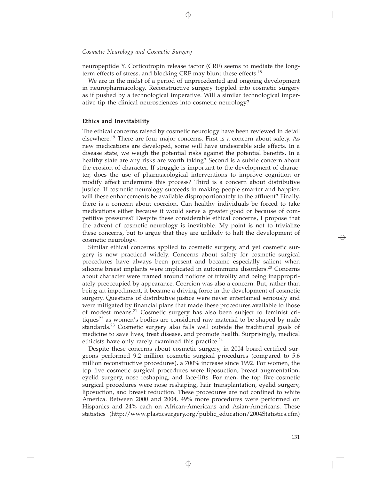#### *Cosmetic Neurology and Cosmetic Surgery*

neuropeptide Y. Corticotropin release factor (CRF) seems to mediate the longterm effects of stress, and blocking CRF may blunt these effects.<sup>18</sup>

We are in the midst of a period of unprecedented and ongoing development in neuropharmacology. Reconstructive surgery toppled into cosmetic surgery as if pushed by a technological imperative. Will a similar technological imperative tip the clinical neurosciences into cosmetic neurology?

#### **Ethics and Inevitability**

The ethical concerns raised by cosmetic neurology have been reviewed in detail elsewhere.19 There are four major concerns. First is a concern about safety. As new medications are developed, some will have undesirable side effects. In a disease state, we weigh the potential risks against the potential benefits. In a healthy state are any risks are worth taking? Second is a subtle concern about the erosion of character. If struggle is important to the development of character, does the use of pharmacological interventions to improve cognition or modify affect undermine this process? Third is a concern about distributive justice. If cosmetic neurology succeeds in making people smarter and happier, will these enhancements be available disproportionately to the affluent? Finally, there is a concern about coercion. Can healthy individuals be forced to take medications either because it would serve a greater good or because of competitive pressures? Despite these considerable ethical concerns, I propose that the advent of cosmetic neurology is inevitable. My point is not to trivialize these concerns, but to argue that they are unlikely to halt the development of cosmetic neurology.

Similar ethical concerns applied to cosmetic surgery, and yet cosmetic surgery is now practiced widely. Concerns about safety for cosmetic surgical procedures have always been present and became especially salient when silicone breast implants were implicated in autoimmune disorders.<sup>20</sup> Concerns about character were framed around notions of frivolity and being inappropriately preoccupied by appearance. Coercion was also a concern. But, rather than being an impediment, it became a driving force in the development of cosmetic surgery. Questions of distributive justice were never entertained seriously and were mitigated by financial plans that made these procedures available to those of modest means.21 Cosmetic surgery has also been subject to feminist critiques<sup>22</sup> as women's bodies are considered raw material to be shaped by male standards.23 Cosmetic surgery also falls well outside the traditional goals of medicine to save lives, treat disease, and promote health. Surprisingly, medical ethicists have only rarely examined this practice. $24$ 

Despite these concerns about cosmetic surgery, in 2004 board-certified surgeons performed 9.2 million cosmetic surgical procedures (compared to 5.6 million reconstructive procedures), a 700% increase since 1992. For women, the top five cosmetic surgical procedures were liposuction, breast augmentation, eyelid surgery, nose reshaping, and face-lifts. For men, the top five cosmetic surgical procedures were nose reshaping, hair transplantation, eyelid surgery, liposuction, and breast reduction. These procedures are not confined to white America. Between 2000 and 2004, 49% more procedures were performed on Hispanics and 24% each on African-Americans and Asian-Americans. These statistics (http://www.plasticsurgery.org/public\_education/2004Statistics.cfm)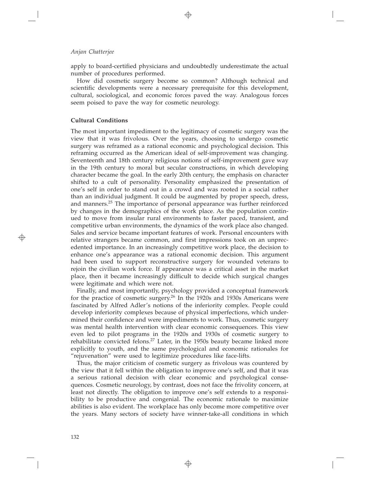## *Anjan Chatterjee*

apply to board-certified physicians and undoubtedly underestimate the actual number of procedures performed.

How did cosmetic surgery become so common? Although technical and scientific developments were a necessary prerequisite for this development, cultural, sociological, and economic forces paved the way. Analogous forces seem poised to pave the way for cosmetic neurology.

## **Cultural Conditions**

The most important impediment to the legitimacy of cosmetic surgery was the view that it was frivolous. Over the years, choosing to undergo cosmetic surgery was reframed as a rational economic and psychological decision. This reframing occurred as the American ideal of self-improvement was changing. Seventeenth and 18th century religious notions of self-improvement gave way in the 19th century to moral but secular constructions, in which developing character became the goal. In the early 20th century, the emphasis on character shifted to a cult of personality. Personality emphasized the presentation of one's self in order to stand out in a crowd and was rooted in a social rather than an individual judgment. It could be augmented by proper speech, dress, and manners.25 The importance of personal appearance was further reinforced by changes in the demographics of the work place. As the population continued to move from insular rural environments to faster paced, transient, and competitive urban environments, the dynamics of the work place also changed. Sales and service became important features of work. Personal encounters with relative strangers became common, and first impressions took on an unprecedented importance. In an increasingly competitive work place, the decision to enhance one's appearance was a rational economic decision. This argument had been used to support reconstructive surgery for wounded veterans to rejoin the civilian work force. If appearance was a critical asset in the market place, then it became increasingly difficult to decide which surgical changes were legitimate and which were not.

Finally, and most importantly, psychology provided a conceptual framework for the practice of cosmetic surgery.<sup>26</sup> In the 1920s and 1930s Americans were fascinated by Alfred Adler's notions of the inferiority complex. People could develop inferiority complexes because of physical imperfections, which undermined their confidence and were impediments to work. Thus, cosmetic surgery was mental health intervention with clear economic consequences. This view even led to pilot programs in the 1920s and 1930s of cosmetic surgery to rehabilitate convicted felons.<sup>27</sup> Later, in the 1950s beauty became linked more explicitly to youth, and the same psychological and economic rationales for "rejuvenation" were used to legitimize procedures like face-lifts.

Thus, the major criticism of cosmetic surgery as frivolous was countered by the view that it fell within the obligation to improve one's self, and that it was a serious rational decision with clear economic and psychological consequences. Cosmetic neurology, by contrast, does not face the frivolity concern, at least not directly. The obligation to improve one's self extends to a responsibility to be productive and congenial. The economic rationale to maximize abilities is also evident. The workplace has only become more competitive over the years. Many sectors of society have winner-take-all conditions in which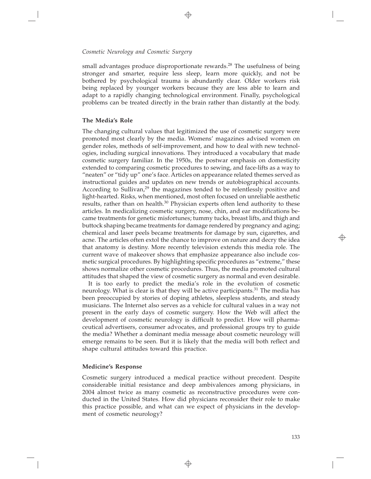## *Cosmetic Neurology and Cosmetic Surgery*

small advantages produce disproportionate rewards.<sup>28</sup> The usefulness of being stronger and smarter, require less sleep, learn more quickly, and not be bothered by psychological trauma is abundantly clear. Older workers risk being replaced by younger workers because they are less able to learn and adapt to a rapidly changing technological environment. Finally, psychological problems can be treated directly in the brain rather than distantly at the body.

## **The Media's Role**

The changing cultural values that legitimized the use of cosmetic surgery were promoted most clearly by the media. Womens' magazines advised women on gender roles, methods of self-improvement, and how to deal with new technologies, including surgical innovations. They introduced a vocabulary that made cosmetic surgery familiar. In the 1950s, the postwar emphasis on domesticity extended to comparing cosmetic procedures to sewing, and face-lifts as a way to "neaten" or "tidy up" one's face. Articles on appearance related themes served as instructional guides and updates on new trends or autobiographical accounts. According to Sullivan, $29$  the magazines tended to be relentlessly positive and light-hearted. Risks, when mentioned, most often focused on unreliable aesthetic results, rather than on health. $30$  Physician experts often lend authority to these articles. In medicalizing cosmetic surgery, nose, chin, and ear modifications became treatments for genetic misfortunes; tummy tucks, breast lifts, and thigh and buttock shaping became treatments for damage rendered by pregnancy and aging; chemical and laser peels became treatments for damage by sun, cigarettes, and acne. The articles often extol the chance to improve on nature and decry the idea that anatomy is destiny. More recently television extends this media role. The current wave of makeover shows that emphasize appearance also include cosmetic surgical procedures. By highlighting specific procedures as "extreme," these shows normalize other cosmetic procedures. Thus, the media promoted cultural attitudes that shaped the view of cosmetic surgery as normal and even desirable.

It is too early to predict the media's role in the evolution of cosmetic neurology. What is clear is that they will be active participants.<sup>31</sup> The media has been preoccupied by stories of doping athletes, sleepless students, and steady musicians. The Internet also serves as a vehicle for cultural values in a way not present in the early days of cosmetic surgery. How the Web will affect the development of cosmetic neurology is difficult to predict. How will pharmaceutical advertisers, consumer advocates, and professional groups try to guide the media? Whether a dominant media message about cosmetic neurology will emerge remains to be seen. But it is likely that the media will both reflect and shape cultural attitudes toward this practice.

## **Medicine's Response**

Cosmetic surgery introduced a medical practice without precedent. Despite considerable initial resistance and deep ambivalences among physicians, in 2004 almost twice as many cosmetic as reconstructive procedures were conducted in the United States. How did physicians reconsider their role to make this practice possible, and what can we expect of physicians in the development of cosmetic neurology?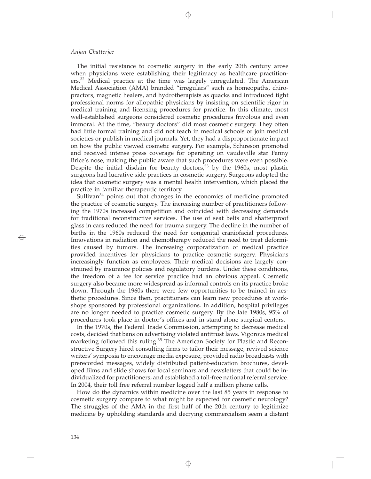## *Anjan Chatterjee*

The initial resistance to cosmetic surgery in the early 20th century arose when physicians were establishing their legitimacy as healthcare practitioners.32 Medical practice at the time was largely unregulated. The American Medical Association (AMA) branded "irregulars" such as homeopaths, chiropractors, magnetic healers, and hydrotherapists as quacks and introduced tight professional norms for allopathic physicians by insisting on scientific rigor in medical training and licensing procedures for practice. In this climate, most well-established surgeons considered cosmetic procedures frivolous and even immoral. At the time, "beauty doctors" did most cosmetic surgery. They often had little formal training and did not teach in medical schools or join medical societies or publish in medical journals. Yet, they had a disproportionate impact on how the public viewed cosmetic surgery. For example, Schireson promoted and received intense press coverage for operating on vaudeville star Fanny Brice's nose, making the public aware that such procedures were even possible. Despite the initial disdain for beauty doctors, $33$  by the 1960s, most plastic surgeons had lucrative side practices in cosmetic surgery. Surgeons adopted the idea that cosmetic surgery was a mental health intervention, which placed the practice in familiar therapeutic territory.

Sullivan $34$  points out that changes in the economics of medicine promoted the practice of cosmetic surgery. The increasing number of practitioners following the 1970s increased competition and coincided with decreasing demands for traditional reconstructive services. The use of seat belts and shatterproof glass in cars reduced the need for trauma surgery. The decline in the number of births in the 1960s reduced the need for congenital craniofacial procedures. Innovations in radiation and chemotherapy reduced the need to treat deformities caused by tumors. The increasing corporatization of medical practice provided incentives for physicians to practice cosmetic surgery. Physicians increasingly function as employees. Their medical decisions are largely constrained by insurance policies and regulatory burdens. Under these conditions, the freedom of a fee for service practice had an obvious appeal. Cosmetic surgery also became more widespread as informal controls on its practice broke down. Through the 1960s there were few opportunities to be trained in aesthetic procedures. Since then, practitioners can learn new procedures at workshops sponsored by professional organizations. In addition, hospital privileges are no longer needed to practice cosmetic surgery. By the late 1980s, 95% of procedures took place in doctor's offices and in stand-alone surgical centers.

In the 1970s, the Federal Trade Commission, attempting to decrease medical costs, decided that bans on advertising violated antitrust laws. Vigorous medical marketing followed this ruling.<sup>35</sup> The American Society for Plastic and Reconstructive Surgery hired consulting firms to tailor their message, revived science writers' symposia to encourage media exposure, provided radio broadcasts with prerecorded messages, widely distributed patient-education brochures, developed films and slide shows for local seminars and newsletters that could be individualized for practitioners, and established a toll-free national referral service. In 2004, their toll free referral number logged half a million phone calls.

How do the dynamics within medicine over the last 85 years in response to cosmetic surgery compare to what might be expected for cosmetic neurology? The struggles of the AMA in the first half of the 20th century to legitimize medicine by upholding standards and decrying commercialism seem a distant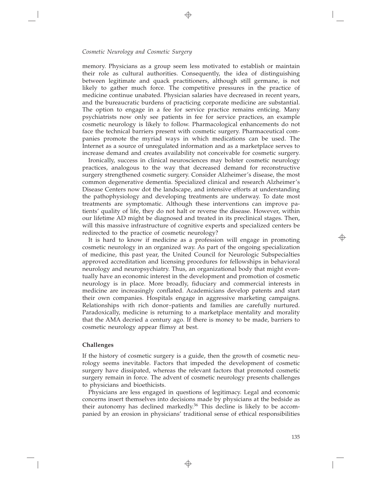memory. Physicians as a group seem less motivated to establish or maintain their role as cultural authorities. Consequently, the idea of distinguishing between legitimate and quack practitioners, although still germane, is not likely to gather much force. The competitive pressures in the practice of medicine continue unabated. Physician salaries have decreased in recent years, and the bureaucratic burdens of practicing corporate medicine are substantial. The option to engage in a fee for service practice remains enticing. Many psychiatrists now only see patients in fee for service practices, an example cosmetic neurology is likely to follow. Pharmacological enhancements do not face the technical barriers present with cosmetic surgery. Pharmaceutical companies promote the myriad ways in which medications can be used. The Internet as a source of unregulated information and as a marketplace serves to increase demand and creates availability not conceivable for cosmetic surgery.

Ironically, success in clinical neurosciences may bolster cosmetic neurology practices, analogous to the way that decreased demand for reconstructive surgery strengthened cosmetic surgery. Consider Alzheimer's disease, the most common degenerative dementia. Specialized clinical and research Alzheimer's Disease Centers now dot the landscape, and intensive efforts at understanding the pathophysiology and developing treatments are underway. To date most treatments are symptomatic. Although these interventions can improve patients' quality of life, they do not halt or reverse the disease. However, within our lifetime AD might be diagnosed and treated in its preclinical stages. Then, will this massive infrastructure of cognitive experts and specialized centers be redirected to the practice of cosmetic neurology?

It is hard to know if medicine as a profession will engage in promoting cosmetic neurology in an organized way. As part of the ongoing specialization of medicine, this past year, the United Council for Neurologic Subspecialties approved accreditation and licensing procedures for fellowships in behavioral neurology and neuropsychiatry. Thus, an organizational body that might eventually have an economic interest in the development and promotion of cosmetic neurology is in place. More broadly, fiduciary and commercial interests in medicine are increasingly conflated. Academicians develop patents and start their own companies. Hospitals engage in aggressive marketing campaigns. Relationships with rich donor–patients and families are carefully nurtured. Paradoxically, medicine is returning to a marketplace mentality and morality that the AMA decried a century ago. If there is money to be made, barriers to cosmetic neurology appear flimsy at best.

#### **Challenges**

If the history of cosmetic surgery is a guide, then the growth of cosmetic neurology seems inevitable. Factors that impeded the development of cosmetic surgery have dissipated, whereas the relevant factors that promoted cosmetic surgery remain in force. The advent of cosmetic neurology presents challenges to physicians and bioethicists.

Physicians are less engaged in questions of legitimacy. Legal and economic concerns insert themselves into decisions made by physicians at the bedside as their autonomy has declined markedly.<sup>36</sup> This decline is likely to be accompanied by an erosion in physicians' traditional sense of ethical responsibilities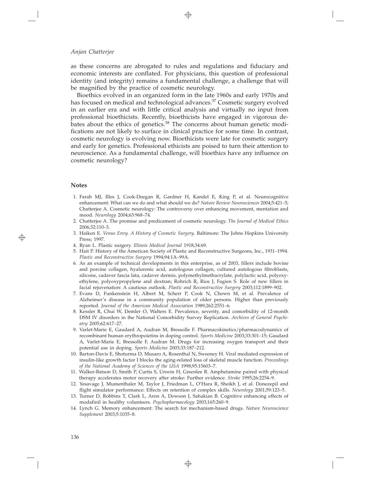## *Anjan Chatterjee*

as these concerns are abrogated to rules and regulations and fiduciary and economic interests are conflated. For physicians, this question of professional identity (and integrity) remains a fundamental challenge, a challenge that will be magnified by the practice of cosmetic neurology.

Bioethics evolved in an organized form in the late 1960s and early 1970s and has focused on medical and technological advances.<sup>37</sup> Cosmetic surgery evolved in an earlier era and with little critical analysis and virtually no input from professional bioethicists. Recently, bioethicists have engaged in vigorous debates about the ethics of genetics.<sup>38</sup> The concerns about human genetic modifications are not likely to surface in clinical practice for some time. In contrast, cosmetic neurology is evolving now. Bioethicists were late for cosmetic surgery and early for genetics. Professional ethicists are poised to turn their attention to neuroscience. As a fundamental challenge, will bioethics have any influence on cosmetic neurology?

#### **Notes**

- 1. Farah MJ, Illes J, Cook-Deegan R, Gardner H, Kandel E, King P, et al. Neurocognitive enhancement: What can we do and what should we do? *Nature Review Neurosciences* 2004;5:421–5; Chatterjee A. Cosmetic neurology: The controversy over enhancing movement, mentation and mood. *Neurology* 2004;63:968–74.
- 2. Chatterjee A. The promise and predicament of cosmetic neurology. *The Journal of Medical Ethics* 2006;32:110–3.
- 3. Haiken E. *Venus Envy. A History of Cosmetic Surgery*. Baltimore: The Johns Hopkins University Press; 1997.
- 4. Ryan L. Plastic surgery. *Illinois Medical Journal* 1918;34:69.
- 5. Hait P. History of the American Society of Plastic and Reconstructive Surgeons, Inc., 1931–1994. *Plastic and Reconstructive Surgery* 1994;94:1A–99A.
- 6. As an example of technical developments in this enterprise, as of 2003, fillers include bovine and porcine collagen, hyaluronic acid, autologous collagen, cultured autologous fibroblasts, silicone, cadaver fascia lata, cadaver dermis, polymethylmethacrylate, polylactic acid, polyoxyethylene, polyoxypropylene and dextran; Rohrich R, Rios J, Fagien S. Role of new fillers in facial rejuvenation: A cautious outlook. *Plastic and Reconstructive Surgery* 2003;112:1899–902.
- 7. Evans D, Funkenstein H, Albert M, Scherr P, Cook N, Chown M, et al. Prevalence of Alzheimer's disease in a community population of older persons. Higher than previously reported. *Journal of the American Medical Association* 1989;262:2551–6.
- 8. Kessler R, Chui W, Demler O, Walters E. Prevalence, severity, and comorbidity of 12-month DSM IV disorders in the National Comorbidity Survey Replication. *Archives of General Psychiatry* 2005;62:617–27.
- 9. Varlet-Marie E, Gaudard A, Audran M, Bressolle F. Pharmacokinetics/pharmacodynamics of recombinant human erythropoietins in doping control. *Sports Medicine* 2003;33:301–15; Gaudard A, Varlet-Marie E, Bressolle F, Audran M. Drugs for increasing oxygen transport and their potential use in doping. *Sports Medicine* 2003;33:187–212.
- 10. Barton-Davis E, Shoturma D, Musaro A, Rosenthal N, Sweeney H. Viral mediated expression of insulin-like growth factor I blocks the aging-related loss of skeletal muscle function. *Proceedings of the National Academy of Sciences of the USA* 1998;95:15603–7.
- 11. Walker-Batson D, Smith P, Curtis S, Unwin H, Greenlee R. Amphetamine paired with physical therapy accelerates motor recovery after stroke: Further evidence. *Stroke* 1995;26:2254–9.
- 12. Yesavage J, Mumenthaler M, Taylor J, Friedman L, O'Hara R, Sheikh J, et al. Donezepil and flight simulator performance: Effects on retention of complex skills. *Neurology* 2001;59:123–5.
- 13. Turner D, Robbins T, Clark L, Aron A, Dowson J, Sahakian B. Cognitive enhancing effects of modafinil in healthy volunteers. *Psychopharmacology* 2003;165:260–9.
- 14. Lynch G. Memory enhancement: The search for mechanism-based drugs. *Nature Neuroscience Supplement* 2003;5:1035–8.